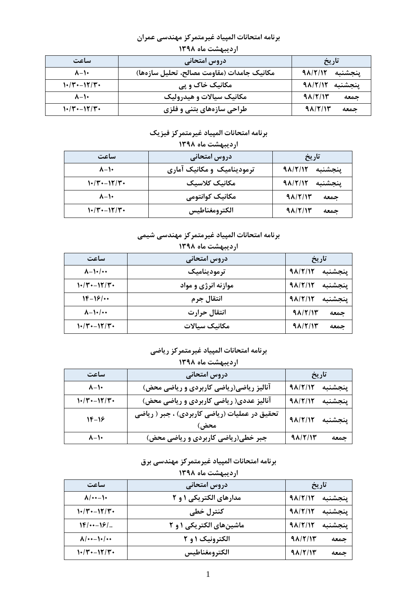| $\cdots$ $\cdots$ $\cdots$ $\cdots$ $\cdots$ $\cdots$ $\cdots$ $\cdots$ $\cdots$ $\cdots$ $\cdots$ $\cdots$ $\cdots$ $\cdots$ $\cdots$ $\cdots$ $\cdots$ $\cdots$ $\cdots$ $\cdots$ $\cdots$ $\cdots$ $\cdots$ $\cdots$ $\cdots$ $\cdots$ $\cdots$ $\cdots$ $\cdots$ $\cdots$ $\cdots$ $\cdots$ $\cdots$ $\cdots$ $\cdots$ $\cdots$ |                                            |                          |  |
|-------------------------------------------------------------------------------------------------------------------------------------------------------------------------------------------------------------------------------------------------------------------------------------------------------------------------------------|--------------------------------------------|--------------------------|--|
| ساعت                                                                                                                                                                                                                                                                                                                                | دروس امتحاني                               | تاريخ                    |  |
| $\lambda - 1$                                                                                                                                                                                                                                                                                                                       | مكانيك جامدات (مقاومت مصالح، تحليل سازهها) | 91/7/17<br>ىنجشنىه       |  |
| $1.7 - 17.7$                                                                                                                                                                                                                                                                                                                        | مکانیک خاک و پی                            | 91/7/17<br>ينجشنبه       |  |
| $\lambda - \lambda$                                                                                                                                                                                                                                                                                                                 | مکانیک سیالات و هیدرولیک                   | $9\lambda$ /٢/۱٣<br>حمعه |  |
| $1.7 - 17.7$                                                                                                                                                                                                                                                                                                                        | طراحی سازههای بتنی و فلزی                  | $9\lambda$ /٢/۱٣<br>حمعه |  |

### برنامه امتحانات المپياد غيرمتمركز مهندسي عمران اردیبهشت ماه ۱۳۹۸

### برنامه امتحانات المپياد غيرمتمركز فيزيك

| اردیبهشت ماه ۱۳۹۸   |                            |                          |  |
|---------------------|----------------------------|--------------------------|--|
| ساعت                | دروس امتحانی               | تاريخ                    |  |
| $\lambda - 1$       | ترمودینامیک و مکانیک آماری | 91/7/17<br>ينجشنبه       |  |
| $1.7 - 17.7$        | مكانىك كلاسىك              | 91/7/17<br>ىنجشنىه       |  |
| $\lambda - \lambda$ | مکانیک کوانتومی            | 91/7/17<br>جمعه          |  |
| $1.74 - 177$        | الكترومغناطيس              | $9\lambda$ /٢/١٣<br>حمعه |  |

## برنامه امتحانات المپياد غيرمتمركز مهندسي شيمي

| اردیبهشت ماه ۱۳۹۸     |                     |                          |  |
|-----------------------|---------------------|--------------------------|--|
| ساعت                  | دروس امتحانی        | تاريخ                    |  |
| $\lambda - 1$ + / + + | ترموديناميک         | 91/7/17<br>ينجشنبه       |  |
| $1.74 - 177$          | موازنه انرژی و مواد | 91/7/17<br>ينجشنبه       |  |
| $18 - 18$             | انتقال جرم          | 9A/Y/1Y<br>ينجشنبه       |  |
| $\lambda - \lambda$   | انتقال حرارت        | $9\lambda$ /٢/١٣<br>جمعه |  |
| $1.7 - 17.7$          | مكانىك سىالات       | $9\lambda$ /٢/۱٣<br>حمعه |  |

# برنامه امتحانات المپياد غيرمتمركز رياضى

# اردیبهشت ماه ۱۳۹۸

| ساعت                | دروس امتحانی                                          | تاريخ           |         |
|---------------------|-------------------------------------------------------|-----------------|---------|
| $\lambda - \lambda$ | آنالیز ریاضی(ریاضی کاربردی و ریاضی محض)               | پنجشنبه ۹۸/۲/۱۲ |         |
| $1 - (17 - 17)$     | آنالیز عددی( ریاضی کاربردی و ریاضی محض)               | پنجشنبه ۹۸/۲/۱۲ |         |
| $18 - 19$           | تحقیق در عملیات (ریاضی کاربردی) ، جبر ( ریاضی<br>محض) | 91/7/17         | پنجشنبه |
| $\lambda - \lambda$ | جبر خطی(ریاضی کاربردی و ریاضی محض)                    | 91/7/15         | الجمعه  |

## برنامه امتحانات المپياد غيرمتمركز مهندسي برق

| اردیبهشت ماه ۱۳۹۸    |                          |                 |         |
|----------------------|--------------------------|-----------------|---------|
| ساعت                 | دروس امتحاني             | تاريخ           |         |
| $\lambda$ / $\cdots$ | مدارهای الکتریکی ۱ و ۲   | 91/7/17         | ينجشنبه |
| $1.74 - 177$         | کنترل خطی                | 91/7/17         | ينجشنبه |
| $18/---19/$          | ماشین های الکتریکی ۱ و ۲ | 91/7/17         | ينجشنبه |
| $\Lambda$ /++-1+/++  | الکترونیک ۱ و ۲          | $9\Lambda/T/15$ | جمعه    |
| $1.74 - 177$         | الكترومغناطيس            | 91/7/17         | جمعه    |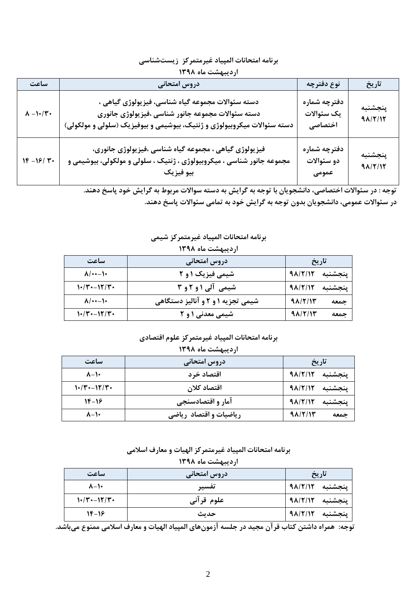| برنامه امتحانات المپياد غيرمتمركز زيستشناسي |  |  |  |  |  |
|---------------------------------------------|--|--|--|--|--|
|---------------------------------------------|--|--|--|--|--|

#### اردیبهشت ماه ۱۳۹۸

| ساعت                     | دروس امتحانى                                                                                                                                                                      | نوع دفترچه                            | تاريخ              |
|--------------------------|-----------------------------------------------------------------------------------------------------------------------------------------------------------------------------------|---------------------------------------|--------------------|
| $\Lambda - \nu/\Upsilon$ | دسته سئوالات مجموعه گیاه شناسی، فیزیولوژی گیاهی ،<br>دسته سئوالات مجموعه جانور شناسی ،فیزیولوژی جانوری<br>دسته سئوالات میکروبیولوژی و ژنتیک، بیوشیمی و بیوفیزیک (سلولی و مولکولی) | دفترچه شماره<br>یک سئوالات<br>اختصاصى | ينجشنبه<br>91/7/17 |
| $1F - 18/7$              | فیزیولوژی گیاهی ، مجموعه گیاه شناسی ،فیزیولوژی جانوری،<br>مجموعه جانور شناسی ، میکروبیولوژی ، ژنتیک ، سلولی و مولکولی، بیوشیمی و<br>بيو فيزيک                                     | دفترچه شماره<br>دو سئوالات<br>عمومی   | ينجشنبه<br>91/7/17 |

.<br>- توجه : در سئوالات اختصاصي، دانشجويان با توجه به گرايش به دسته سوالات مربوط به گرايش خود پاسخ دهند.

در سئوالات عمومی، دانشجویان بدون توجه به گرایش خود به تمامی سئوالات پاسخ دهند.

#### برنامه امتحانات المپياد غيرمتمركز شيمي

| اردیبهشت ماه ۱۳۹۸    |                                   |                  |         |
|----------------------|-----------------------------------|------------------|---------|
| ساعت                 | دروس امتحاني                      |                  | تاريخ   |
| $\lambda$ / $\cdots$ | شیمی فیزیک <b>۱ و ۲</b>           | 91/7/17          | ينجشنبه |
| $1.7 - 17.7$         | شیمی آلی ۱ و ۲ و ۳                | 91/7/17          | ينجشنبه |
| $\lambda$ / $\cdots$ | شیمی تجزیه ۱ و ۲ و آنالیز دستگاهی | $9\lambda$ /٢/۱٣ | جمعه    |
| $1.7 - 17.7$         | شیمی معدنی ۱ و ۲                  | $9\lambda$ /٢/۱۳ | جمعه    |

### برنامه امتحانات المپياد غيرمتمركز علوم اقتصادي

| اردیبهشت ماه ۱۳۹۸    |                        |                  |         |
|----------------------|------------------------|------------------|---------|
| ساعت<br>دروس امتحانی |                        | تاريخ            |         |
| $\lambda - \lambda$  | اقتصاد خر د            | 98/2/12          | ينجشنبه |
| $1.74 - 17.7$        | اقتصاد كلان            | 91/7/17          | ينجشنبه |
| $18-18$              | آمار و اقتصادسنجي      | 91/7/17          | ينجشنبه |
| $\lambda - \lambda$  | ریاضیات و اقتصاد ریاضی | $9\lambda$ /٢/۱۳ | جمعه    |

# برنامه امتحانات المپیاد غیرمتمرکز الهیات و معارف اسلامی

| اردیبهشت ماه ۱۳۹۸   |              |         |         |
|---------------------|--------------|---------|---------|
| ساعت                | دروس امتحانی |         | تاريخ   |
| $\lambda - \lambda$ | تفسير        | 91/7/17 | ينجشنبه |
| $1.7 - 17.7$        | علوم قرآني   | 98/2/12 | ينجشنبه |
| $18-18$             | حديث         | 9817112 | ينجشنبه |

.<br>توجه: همراه داشتن كتاب قرآن مجيد در جلسه آزمونهاي المپياد الهيات و معارف اسلامي ممنوع مي باشد.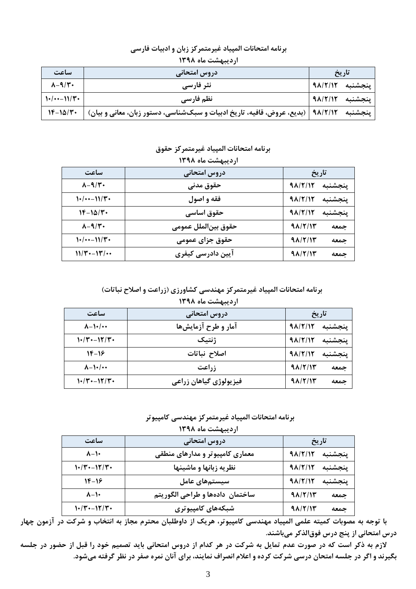#### برنامه امتحانات المپیاد غیرمتمرکز زبان و ادبیات فارسی اردیبهشت ماه ۱۳۹۸

| ساعت                   | ردروس امتحانی                                                                           | تاريخ           |         |
|------------------------|-----------------------------------------------------------------------------------------|-----------------|---------|
| $\lambda - 9/\Upsilon$ | نثر فارسی                                                                               | ينجشنبه ٩٨/٢/١٢ |         |
| $1 \cdot (-1)/1$       | نظم فارسي                                                                               | ينجشنبه ٩٨/٢/١٢ |         |
| $Y - 10/Y$             | <b>۹۸/۲/۱۲   (بدیع، عروض، قافیه، تاریخ ادبیات و سبکشناسی، دستور زبان، معانی و بیان)</b> |                 | ينجشنبه |

#### برنامه امتحانات المپياد غيرمتمركز حقوق  $M^2$   $A$   $A$   $C$   $A$   $A$   $A$

| $11.18.80$ case called $11.1$ |                     |                  |         |
|-------------------------------|---------------------|------------------|---------|
| ساعت                          | دروس امتحانی        | تاريخ            |         |
| $\lambda - 9/\tau$ .          | حقوق مدني           | 91/7/17          | ينجشنبه |
| $1.1$ $(1.1)$                 | فقه و اصول          | 91/7/17          | ينجشنبه |
| $Y - 10/Y$                    | حقوق اساسي          | 91/7/17          | ينجشنبه |
| $\lambda - 9/\mathbf{r}$ .    | حقوق بينالملل عمومي | $9\lambda$ /٢/١٣ | جمعه    |
| $1.1$ $(1.1)$                 | حقوق جزاي عمومي     | $9\lambda$ /٢/١٣ | جمعه    |
| $11/T - 1T/\cdots$            | آیین دادرسی کیفری   | $9\lambda$ /٢/١٣ | جمعه    |

برنامه امتحانات المپیاد غیرمتمرکز مهندسی کشاورزی (زراعت و اصلاح نباتات) اردیبهشت ماه ۱۳۹۸

|                       | .                      |                 |         |
|-----------------------|------------------------|-----------------|---------|
| ساعت                  | دروس امتحانی           | تاريخ           |         |
| $\lambda - \lambda$   | آمار و طرح آزمایشها    | 91/7/17         | ينجشنبه |
| $1.7 - 17.7$          | ژنتیک                  | 91/7/17         | ينجشنبه |
| $18-18$               | اصلاح نباتات           | 91/7/17         | ينجشنبه |
| $\lambda - 1$ + / + + | <b>زراعت</b>           | $9\lambda/T/11$ | جمعه    |
| $1.74 - 17.7$         | فيزيولوژي گياهان زراعي | 91/7/15         | جمعه    |

برنامه امتحانات المپياد غيرمتمركز مهندسي كامپيوتر  $\mathbf{A}$  we also the set of  $\mathbf{A}$ 

| ار دیبهشت ماه ۱۱ ۱۲ |                                  |                          |  |
|---------------------|----------------------------------|--------------------------|--|
| ساعت                | دروس امتحاني<br>تاريخ            |                          |  |
| $\lambda - \lambda$ | معماری کامپیوتر و مدارهای منطقی  | 91/7/17<br>ينجشنبه       |  |
| $\frac{1}{2}$       | نظریه زبانها و ماشینها           | 91/7/17<br>ينجشنبه       |  |
| 14-16               | سیستمهای عامل                    | 91/7/17<br>ينجشنبه       |  |
| $\lambda - \lambda$ | ساختمان  دادهها و طراحی الگوریتم | $9\lambda$ /٢/١٣<br>جمعه |  |
| 1+120-12120         | شبکههای کامپیوتری                | 91/7/15<br>جمعه          |  |

.<br>با توجه به مصوبات کمیته علمی المپیاد مهندسی کامپیوتر، هریک از داوطلبان محترم مجاز به انتخاب و شرکت در آزمون چهار درس امتحانی از پنج درس فوق|لذکر میباشند.

لازم به ذکر است که در صورت عدم تمایل به شرکت در هر کدام از دروس امتحانی باید تصمیم خود را قبل از حضور در جلسه بگیرند و اگر در جلسه امتحان درسی شرکت کرده و اعلام انصراف نمایند، برای آنان نمره صفر در نظر گرفته میشود.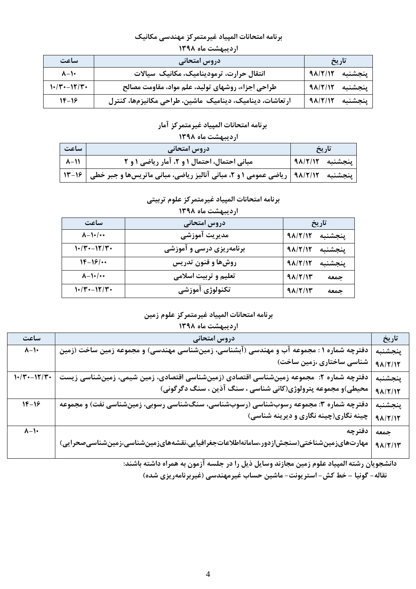### برنامه امتحانات المپياد غيرمتمركز مهندسي مكانيك

| اردیبهشت ماه ۱۳۹۸   |                                                          |                    |  |  |
|---------------------|----------------------------------------------------------|--------------------|--|--|
| ساعت                | دروس امتحانی                                             | تاريخ              |  |  |
| $\lambda - \lambda$ | انتقال حرارت، ترمودینامیک، مکانیک سیالات                 | 91/7/17<br>ىنجشنىه |  |  |
| $1.74 - 177$        | طراحی اجزاء، روشهای تولید، علم مواد، مقاومت مصالح        | ينجشنبه<br>91/7/17 |  |  |
| $18-18$             | ارتعاشات، دینامیک، دینامیک ماشین، طراحی مکانیزمها، کنترل | 91/7/17<br>ىنجشنىه |  |  |

# برنامه امتحانات المپياد غيرمتمركز آمار

### اردیبهشت ماه ۱۳۹۸

| ساعت          | دروس امتحانی                                                                                | تاريخ           |  |
|---------------|---------------------------------------------------------------------------------------------|-----------------|--|
| $ \lambda-1 $ | مبانی احتمال، احتمال ۱ و ۲، آمار ریاضی ۱ و ۲                                                | پنجشنبه ۹۸/۲/۱۲ |  |
|               | پنجشنبه ۔ ۹۸/۲/۱۲   ریاضی عمومی ۱ و ۲، مبانی آنالیز ریاضی، مبانی ماتریسها و جبر خطی   ۱۶-۱۳ |                 |  |

### برنامه امتحانات المپياد غيرمتمركز علوم تربيتي

| ساعت                | دروس امتحاني             | تاريخ                       |
|---------------------|--------------------------|-----------------------------|
| $\lambda - \lambda$ | مديريت آموزشي            | $9\lambda$ /٢/۱٢<br>ينجشنبه |
| $1.74 - 17.74$      | برنامهریزی درسی و آموزشی | 91/7/17<br>ينجشنبه          |
| $18 - 18$           | روشها و فنون تدریس       | $9\lambda$ /٢/١٢<br>ينجشنبه |
| $\lambda - \lambda$ | تعلیم و تربیت اسلامی     | $9\lambda$ /٢/۱٣<br>جمعه    |
| $1.74 - 17.7$       | تكنولوژي آموزشي          | $9\lambda$ /٢/۱٣<br>جمعه    |

### اردیبهشت ماه ۱۳۹۸

### برنامه امتحانات المپياد غيرمتمركز علوم زمين

#### اردیبهشت ماه ۱۳۹۸

| ساعت                | دروس امتحانی                                                                             | تاريخ   |
|---------------------|------------------------------------------------------------------------------------------|---------|
| $\gamma$ - $\prime$ | دفترچه شماره ۱ : مجموعه آب و مهندسی (آبشناسی، زمینشناسی مهندسی) و مجموعه زمین ساخت (زمین | پنجشنبه |
|                     | شناسی ساختاری ،زمین ساخت)                                                                | 91/7/17 |
| $1 - (7 - 17)$      | دفترچه شماره ۲: مجموعه زمینشناسی اقتصادی (زمینشناسی اقتصادی، زمین شیمی، زمینشناسی زیست   | پنجشنبه |
|                     | محیطی)و مجموعه پترولوژی(کانی شناسی ، سنگ آذین ، سنگ دگرگونی)                             | 91/7/17 |
| $1F-19$             | دفترچه شماره ۳: مجموعه رسوبشناسی (رسوبشناسی، سنگشناسی رسوبی، زمینشناسی نفت) و مجموعه     | پنجشنبه |
|                     | چینه نگاری(چینه نگاری و دیرینه شناسی)                                                    | 91/7/17 |
| $\lambda - \lambda$ | دفترچه                                                                                   | جمعه    |
|                     | مهارتهایزمینشناختی(سنجشازدور،سامانهاطلاعاتجغرافیایی،نقشههایزمینشناسی،زمینشناسیصحرایی)    | 91/7/17 |

دانشجویان رشته المپیاد علوم زمین مجازند وسایل ذیل را در جلسه آزمون به همراه داشته باشند:

نقاله- گونیا – خط کش- استر بونت- ماشین حساب غیرمهندسی (غیربرنامهریزی شده)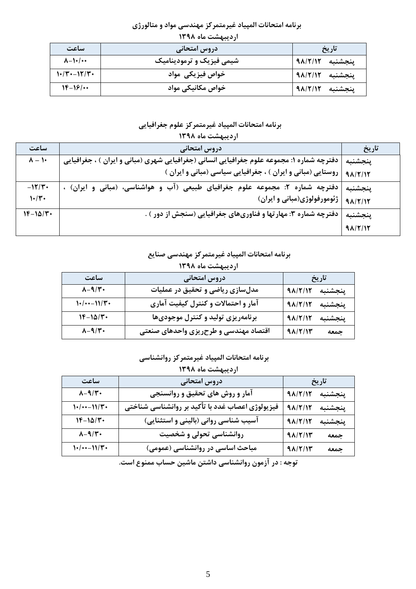### برنامه امتحانات المپیاد غیرمتمرکز مهندسی مواد و متالورژی

| $\cdots$ $\cdots$ $\cdots$ |                          |                 |  |
|----------------------------|--------------------------|-----------------|--|
| ساعت                       | دروس امتحانی             | تاريخ           |  |
| $\lambda - \lambda$        | شیمی فیزیک و ترمودینامیک | ينجشنبه ٩٨/٢/١٢ |  |
| $1.7 - 17.7$               | خواص فیزیکی مواد         | پنجشنبه ۹۸/۲/۱۲ |  |
| $1F-19/$                   | خواص مکانیکی مواد        | پنجشنبه ۹۸/۲/۱۲ |  |

## اردیبهشت ماه ۱۳۹۸

# برنامه امتحانات المپياد غيرمتمركز علوم جغرافيايي

| اردیبهشت ماه ۱۳۹۸ |                                                                                                        |                  |  |  |
|-------------------|--------------------------------------------------------------------------------------------------------|------------------|--|--|
| ساعت              | دروس امتحانی                                                                                           | تاريخ            |  |  |
| $\lambda - 1$     | دفترچه شماره ۱: مجموعه علوم جغرافیایی انسانی (جغرافیایی شهری (مبانی و ایران ) ، جغرافیایی              | ينجشنبه          |  |  |
|                   | روستایی (مبانی و ایران ) ، جغرافیایی سیاسی (مبانی و ایران )                                            | 91/7/17          |  |  |
| $-117 +$          | دفترچه شماره ۲: مجموعه علوم جغرافیای طبیعی (آب<br>هواشناسے، (مبان <u>ی</u><br>و ايران) ،<br>$\ddot{ }$ | ينجشنبه          |  |  |
| 1.7.              | ژئومورفولوژی(مبانی و ایران)                                                                            | 91/7/17          |  |  |
| $Y - 10/Y$        | دفترچه شماره ۳: مهارتها و فناوریهای جغرافیایی (سنجش از دور ) .                                         | ينجشنبه          |  |  |
|                   |                                                                                                        | $9\lambda$ /٢/١٢ |  |  |

## برنامه امتحانات المپياد غيرمتمركز مهندسي صنايع

|  |  | اردیبهشت ماه ۱۳۹۸ |
|--|--|-------------------|
|--|--|-------------------|

| ساعت                   | دروس امتحاني                          | تاريخ              |
|------------------------|---------------------------------------|--------------------|
| $\lambda - 9/\Upsilon$ | مدلسازی ریاضی و تحقیق در عملیات       | ينجشنبه ٩٨/٢/١٢    |
| $1+/--11/T+$           | آمار و احتمالات و کنترل کیفیت آماری   | ينجشنبه ٩٨/٢/١٢    |
| $1F-1\Delta/T$         | برنامهریزی تولید و کنترل موجودیها     | 91/7/17<br>ينجشنبه |
| $\lambda - 9/\Upsilon$ | اقتصاد مهندسی و طرحریزی واحدهای صنعتی | جمعه<br>91/7/17    |

### برنامه امتحانات المپياد غيرمتمركز روانشناسي

| اردیبهشت ماه ۱۳۹۸      |                                                  |         |         |  |
|------------------------|--------------------------------------------------|---------|---------|--|
| ساعت                   | دروس امتحاني                                     |         | تاريخ   |  |
| $\lambda - 9/\Upsilon$ | آمار و روش های تحقیق و روانسنجی                  | 91/7/17 | ينجشنبه |  |
| $1.1$ $11/T$ .         | فیزیولوژی اعصاب غدد با تأکید بر روانشناسی شناختی | 91/7/17 | ينجشنبه |  |
| $1F-1\Delta/T$         | آسیب شناسی روانی (بالینی و استثنایی)             | 91/7/17 | ينجشنبه |  |
| $\lambda - 9/\Upsilon$ | روانشناسی تحولی و شخصیت                          | 91/7/17 | جمعه    |  |
| $1-(1-1)/T$            | مباحث اساسی در روانشناسی (عمومی)                 | 91/7/17 | جمعه    |  |

توجه : در آزمون روانشناسی داشتن ماشین حساب ممنوع است.